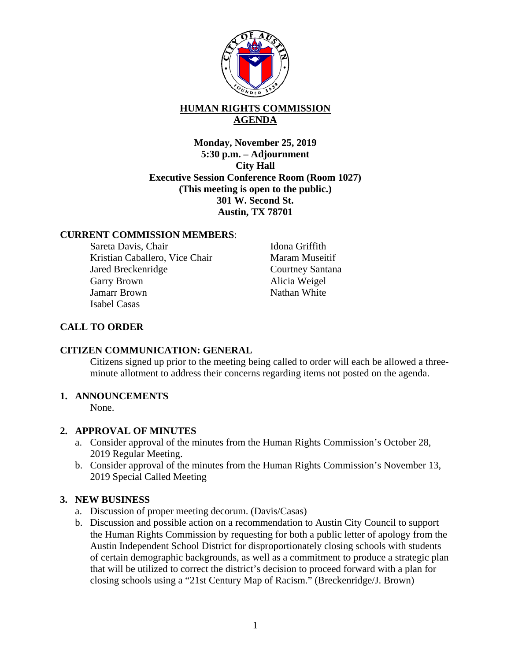

# **HUMAN RIGHTS COMMISSION AGENDA**

**Monday, November 25, 2019 5:30 p.m. – Adjournment City Hall Executive Session Conference Room (Room 1027) (This meeting is open to the public.) 301 W. Second St. Austin, TX 78701** 

#### **CURRENT COMMISSION MEMBERS**:

Sareta Davis, Chair Kristian Caballero, Vice Chair Jared Breckenridge Garry Brown Jamarr Brown Isabel Casas

Idona Griffith Maram Museitif Courtney Santana Alicia Weigel Nathan White

## **CALL TO ORDER**

#### **CITIZEN COMMUNICATION: GENERAL**

Citizens signed up prior to the meeting being called to order will each be allowed a threeminute allotment to address their concerns regarding items not posted on the agenda.

### **1. ANNOUNCEMENTS**

None.

### **2. APPROVAL OF MINUTES**

- a. Consider approval of the minutes from the Human Rights Commission's October 28, 2019 Regular Meeting.
- b. Consider approval of the minutes from the Human Rights Commission's November 13, 2019 Special Called Meeting

### **3. NEW BUSINESS**

- a. Discussion of proper meeting decorum. (Davis/Casas)
- b. Discussion and possible action on a recommendation to Austin City Council to support the Human Rights Commission by requesting for both a public letter of apology from the Austin Independent School District for disproportionately closing schools with students of certain demographic backgrounds, as well as a commitment to produce a strategic plan that will be utilized to correct the district's decision to proceed forward with a plan for closing schools using a "21st Century Map of Racism." (Breckenridge/J. Brown)